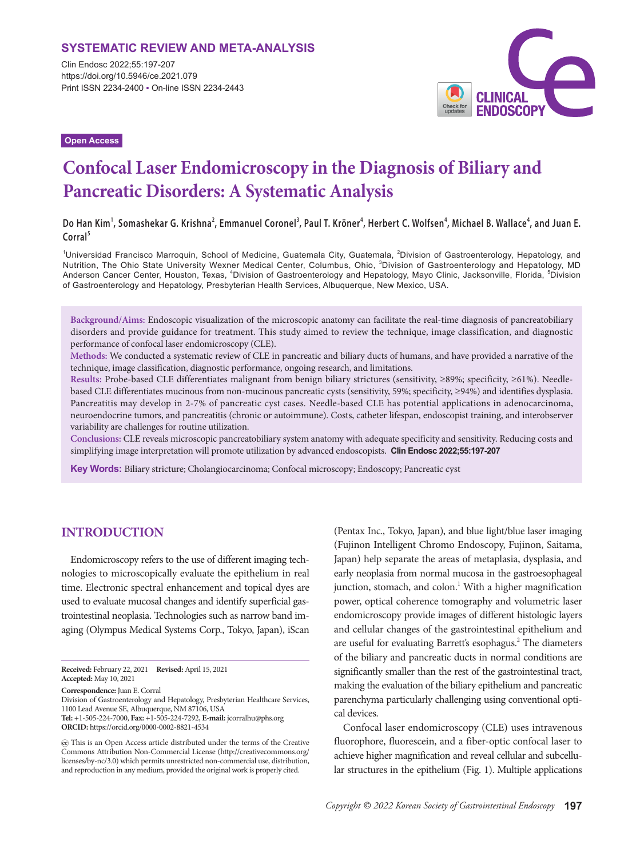## **SYSTEMATIC REVIEW AND META-ANALYSIS**

Clin Endosc 2022;55:197-207 https://doi.org/10.5946/ce.2021.079 Print ISSN 2234-2400 • On-line ISSN 2234-2443



**Open Access**

# **Confocal Laser Endomicroscopy in the Diagnosis of Biliary and Pancreatic Disorders: A Systematic Analysis**

**Do Han Kim<sup>1</sup> , Somashekar G. Krishna<sup>2</sup> , Emmanuel Coronel<sup>3</sup> , Paul T. Kröner<sup>4</sup> , Herbert C. Wolfsen<sup>4</sup> , Michael B. Wallace<sup>4</sup> , and Juan E. Corral<sup>5</sup>**

<sup>1</sup>Universidad Francisco Marroquin, School of Medicine, Guatemala City, Guatemala, <sup>2</sup>Division of Gastroenterology, Hepatology, and Nutrition, The Ohio State University Wexner Medical Center, Columbus, Ohio, <sup>3</sup>Division of Gastroenterology and Hepatology, MD Anderson Cancer Center, Houston, Texas, <sup>4</sup>Division of Gastroenterology and Hepatology, Mayo Clinic, Jacksonville, Florida, <sup>5</sup>Division of Gastroenterology and Hepatology, Presbyterian Health Services, Albuquerque, New Mexico, USA.

**Background/Aims:** Endoscopic visualization of the microscopic anatomy can facilitate the real-time diagnosis of pancreatobiliary disorders and provide guidance for treatment. This study aimed to review the technique, image classification, and diagnostic performance of confocal laser endomicroscopy (CLE).

**Methods:** We conducted a systematic review of CLE in pancreatic and biliary ducts of humans, and have provided a narrative of the technique, image classification, diagnostic performance, ongoing research, and limitations.

**Results:** Probe-based CLE differentiates malignant from benign biliary strictures (sensitivity, ≥89%; specificity, ≥61%). Needlebased CLE differentiates mucinous from non-mucinous pancreatic cysts (sensitivity, 59%; specificity, ≥94%) and identifies dysplasia. Pancreatitis may develop in 2-7% of pancreatic cyst cases. Needle-based CLE has potential applications in adenocarcinoma, neuroendocrine tumors, and pancreatitis (chronic or autoimmune). Costs, catheter lifespan, endoscopist training, and interobserver variability are challenges for routine utilization.

**Conclusions:** CLE reveals microscopic pancreatobiliary system anatomy with adequate specificity and sensitivity. Reducing costs and simplifying image interpretation will promote utilization by advanced endoscopists. **Clin Endosc 2022;55:197-207**

**Key Words:** Biliary stricture; Cholangiocarcinoma; Confocal microscopy; Endoscopy; Pancreatic cyst

# **INTRODUCTION**

Endomicroscopy refers to the use of different imaging technologies to microscopically evaluate the epithelium in real time. Electronic spectral enhancement and topical dyes are used to evaluate mucosal changes and identify superficial gastrointestinal neoplasia. Technologies such as narrow band imaging (Olympus Medical Systems Corp., Tokyo, Japan), iScan

(Pentax Inc., Tokyo, Japan), and blue light/blue laser imaging (Fujinon Intelligent Chromo Endoscopy, Fujinon, Saitama, Japan) help separate the areas of metaplasia, dysplasia, and early neoplasia from normal mucosa in the gastroesophageal junction, stomach, and colon.<sup>1</sup> With a higher magnification power, optical coherence tomography and volumetric laser endomicroscopy provide images of different histologic layers and cellular changes of the gastrointestinal epithelium and are useful for evaluating Barrett's esophagus.<sup>2</sup> The diameters of the biliary and pancreatic ducts in normal conditions are significantly smaller than the rest of the gastrointestinal tract, making the evaluation of the biliary epithelium and pancreatic parenchyma particularly challenging using conventional optical devices.

Confocal laser endomicroscopy (CLE) uses intravenous fluorophore, fluorescein, and a fiber-optic confocal laser to achieve higher magnification and reveal cellular and subcellular structures in the epithelium (Fig. 1). Multiple applications

**Received:** February 22, 2021 **Revised:** April 15, 2021 **Accepted:** May 10, 2021

**Correspondence:** Juan E. Corral

Division of Gastroenterology and Hepatology, Presbyterian Healthcare Services, 1100 Lead Avenue SE, Albuquerque, NM 87106, USA

**Tel:** +1-505-224-7000, **Fax:** +1-505-224-7292, **E-mail:** jcorralhu@phs.org **ORCID:** https://orcid.org/0000-0002-8821-4534

This is an Open Access article distributed under the terms of the Creative Commons Attribution Non-Commercial License (http://creativecommons.org/ licenses/by-nc/3.0) which permits unrestricted non-commercial use, distribution, and reproduction in any medium, provided the original work is properly cited.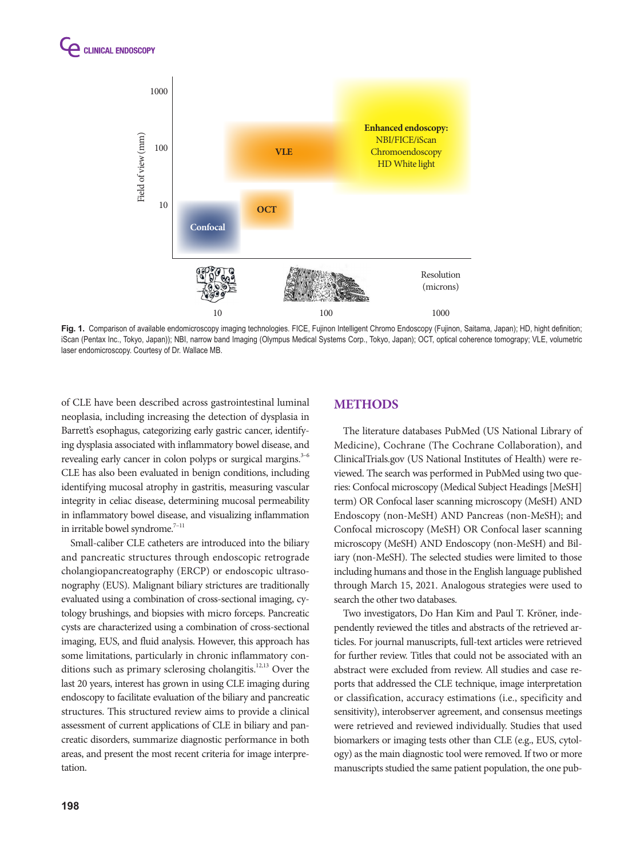



**Fig. 1.** Comparison of available endomicroscopy imaging technologies. FICE, Fujinon Intelligent Chromo Endoscopy (Fujinon, Saitama, Japan); HD, hight definition; iScan (Pentax Inc., Tokyo, Japan)); NBI, narrow band Imaging (Olympus Medical Systems Corp., Tokyo, Japan); OCT, optical coherence tomograpy; VLE, volumetric laser endomicroscopy. Courtesy of Dr. Wallace MB.

of CLE have been described across gastrointestinal luminal neoplasia, including increasing the detection of dysplasia in Barrett's esophagus, categorizing early gastric cancer, identifying dysplasia associated with inflammatory bowel disease, and revealing early cancer in colon polyps or surgical margins.<sup>3–6</sup> CLE has also been evaluated in benign conditions, including identifying mucosal atrophy in gastritis, measuring vascular integrity in celiac disease, determining mucosal permeability in inflammatory bowel disease, and visualizing inflammation in irritable bowel syndrome.<sup>7-11</sup>

Small-caliber CLE catheters are introduced into the biliary and pancreatic structures through endoscopic retrograde cholangiopancreatography (ERCP) or endoscopic ultrasonography (EUS). Malignant biliary strictures are traditionally evaluated using a combination of cross-sectional imaging, cytology brushings, and biopsies with micro forceps. Pancreatic cysts are characterized using a combination of cross-sectional imaging, EUS, and fluid analysis. However, this approach has some limitations, particularly in chronic inflammatory conditions such as primary sclerosing cholangitis.<sup>12,13</sup> Over the last 20 years, interest has grown in using CLE imaging during endoscopy to facilitate evaluation of the biliary and pancreatic structures. This structured review aims to provide a clinical assessment of current applications of CLE in biliary and pancreatic disorders, summarize diagnostic performance in both areas, and present the most recent criteria for image interpretation.

# **METHODS**

The literature databases PubMed (US National Library of Medicine), Cochrane (The Cochrane Collaboration), and ClinicalTrials.gov (US National Institutes of Health) were reviewed. The search was performed in PubMed using two queries: Confocal microscopy (Medical Subject Headings [MeSH] term) OR Confocal laser scanning microscopy (MeSH) AND Endoscopy (non-MeSH) AND Pancreas (non-MeSH); and Confocal microscopy (MeSH) OR Confocal laser scanning microscopy (MeSH) AND Endoscopy (non-MeSH) and Biliary (non-MeSH). The selected studies were limited to those including humans and those in the English language published through March 15, 2021. Analogous strategies were used to search the other two databases.

Two investigators, Do Han Kim and Paul T. Kröner, independently reviewed the titles and abstracts of the retrieved articles. For journal manuscripts, full-text articles were retrieved for further review. Titles that could not be associated with an abstract were excluded from review. All studies and case reports that addressed the CLE technique, image interpretation or classification, accuracy estimations (i.e., specificity and sensitivity), interobserver agreement, and consensus meetings were retrieved and reviewed individually. Studies that used biomarkers or imaging tests other than CLE (e.g., EUS, cytology) as the main diagnostic tool were removed. If two or more manuscripts studied the same patient population, the one pub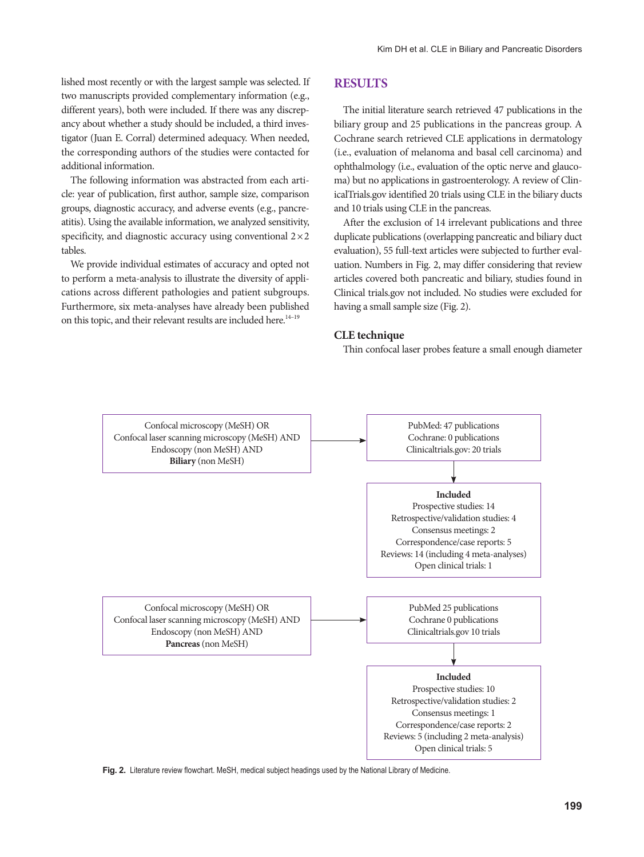lished most recently or with the largest sample was selected. If two manuscripts provided complementary information (e.g., different years), both were included. If there was any discrepancy about whether a study should be included, a third investigator (Juan E. Corral) determined adequacy. When needed, the corresponding authors of the studies were contacted for additional information.

The following information was abstracted from each article: year of publication, first author, sample size, comparison groups, diagnostic accuracy, and adverse events (e.g., pancreatitis). Using the available information, we analyzed sensitivity, specificity, and diagnostic accuracy using conventional  $2\times 2$ tables.

We provide individual estimates of accuracy and opted not to perform a meta-analysis to illustrate the diversity of applications across different pathologies and patient subgroups. Furthermore, six meta-analyses have already been published on this topic, and their relevant results are included here.<sup>14-19</sup>

## **RESULTS**

The initial literature search retrieved 47 publications in the biliary group and 25 publications in the pancreas group. A Cochrane search retrieved CLE applications in dermatology (i.e., evaluation of melanoma and basal cell carcinoma) and ophthalmology (i.e., evaluation of the optic nerve and glaucoma) but no applications in gastroenterology. A review of ClinicalTrials.gov identified 20 trials using CLE in the biliary ducts and 10 trials using CLE in the pancreas.

After the exclusion of 14 irrelevant publications and three duplicate publications (overlapping pancreatic and biliary duct evaluation), 55 full-text articles were subjected to further evaluation. Numbers in Fig. 2, may differ considering that review articles covered both pancreatic and biliary, studies found in Clinical trials.gov not included. No studies were excluded for having a small sample size (Fig. 2).

#### **CLE technique**

Thin confocal laser probes feature a small enough diameter



Fig. 2. Literature review flowchart. MeSH, medical subject headings used by the National Library of Medicine.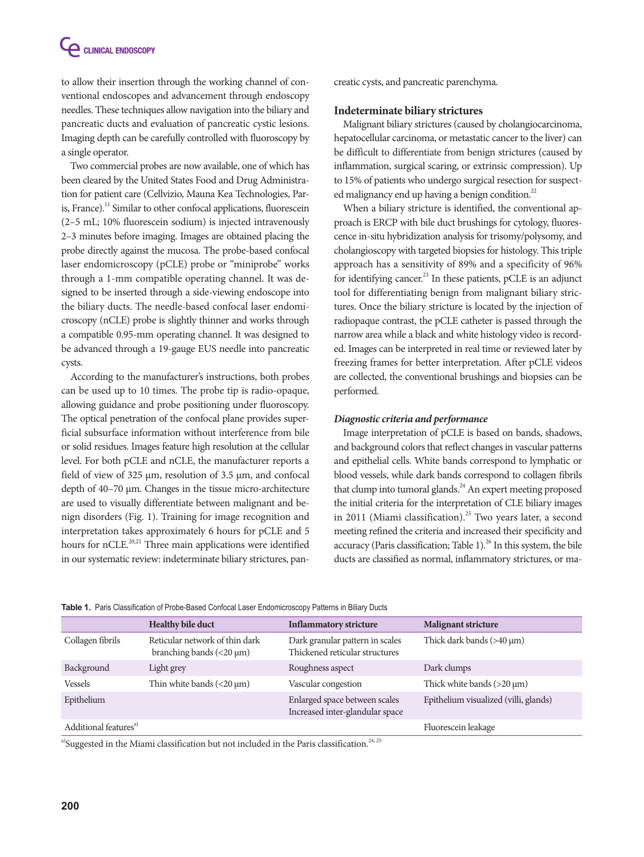to allow their insertion through the working channel of conventional endoscopes and advancement through endoscopy needles. These techniques allow navigation into the biliary and pancreatic ducts and evaluation of pancreatic cystic lesions. Imaging depth can be carefully controlled with fluoroscopy by a single operator.

Two commercial probes are now available, one of which has been cleared by the United States Food and Drug Administration for patient care (Cellvizio, Mauna Kea Technologies, Paris, France).<sup>11</sup> Similar to other confocal applications, fluorescein (2–5 mL; 10% fluorescein sodium) is injected intravenously 2–3 minutes before imaging. Images are obtained placing the probe directly against the mucosa. The probe-based confocal laser endomicroscopy (pCLE) probe or "miniprobe" works through a 1-mm compatible operating channel. It was designed to be inserted through a side-viewing endoscope into the biliary ducts. The needle-based confocal laser endomicroscopy (nCLE) probe is slightly thinner and works through a compatible 0.95-mm operating channel. It was designed to be advanced through a 19-gauge EUS needle into pancreatic cysts.

According to the manufacturer's instructions, both probes can be used up to 10 times. The probe tip is radio-opaque, allowing guidance and probe positioning under fluoroscopy. The optical penetration of the confocal plane provides superficial subsurface information without interference from bile or solid residues. Images feature high resolution at the cellular level. For both pCLE and nCLE, the manufacturer reports a field of view of 325 μm, resolution of 3.5 μm, and confocal depth of 40–70 μm. Changes in the tissue micro-architecture are used to visually differentiate between malignant and benign disorders (Fig. 1). Training for image recognition and interpretation takes approximately 6 hours for pCLE and 5 hours for nCLE.<sup>20,21</sup> Three main applications were identified in our systematic review: indeterminate biliary strictures, pancreatic cysts, and pancreatic parenchyma.

#### **Indeterminate biliary strictures**

Malignant biliary strictures (caused by cholangiocarcinoma, hepatocellular carcinoma, or metastatic cancer to the liver) can be difficult to differentiate from benign strictures (caused by inflammation, surgical scaring, or extrinsic compression). Up to 15% of patients who undergo surgical resection for suspected malignancy end up having a benign condition.<sup>22</sup>

When a biliary stricture is identified, the conventional approach is ERCP with bile duct brushings for cytology, fluorescence in-situ hybridization analysis for trisomy/polysomy, and cholangioscopy with targeted biopsies for histology. This triple approach has a sensitivity of 89% and a specificity of 96% for identifying cancer.<sup>23</sup> In these patients, pCLE is an adjunct tool for differentiating benign from malignant biliary strictures. Once the biliary stricture is located by the injection of radiopaque contrast, the pCLE catheter is passed through the narrow area while a black and white histology video is recorded. Images can be interpreted in real time or reviewed later by freezing frames for better interpretation. After pCLE videos are collected, the conventional brushings and biopsies can be performed.

## *Diagnostic criteria and performance*

Image interpretation of pCLE is based on bands, shadows, and background colors that reflect changes in vascular patterns and epithelial cells. White bands correspond to lymphatic or blood vessels, while dark bands correspond to collagen fibrils that clump into tumoral glands.<sup>24</sup> An expert meeting proposed the initial criteria for the interpretation of CLE biliary images in 2011 (Miami classification).<sup>25</sup> Two years later, a second meeting refined the criteria and increased their specificity and accuracy (Paris classification; Table 1). $^{26}$  In this system, the bile ducts are classified as normal, inflammatory strictures, or ma-

|  |  |  |  | Table 1. Paris Classification of Probe-Based Confocal Laser Endomicroscopy Patterns in Biliary Ducts |  |  |
|--|--|--|--|------------------------------------------------------------------------------------------------------|--|--|
|--|--|--|--|------------------------------------------------------------------------------------------------------|--|--|

|                                   | <b>Healthy bile duct</b>                                        | <b>Inflammatory stricture</b>                                     | <b>Malignant stricture</b>            |
|-----------------------------------|-----------------------------------------------------------------|-------------------------------------------------------------------|---------------------------------------|
| Collagen fibrils                  | Reticular network of thin dark<br>branching bands $(<20 \mu m)$ | Dark granular pattern in scales<br>Thickened reticular structures | Thick dark bands $(>40 \mu m)$        |
| Background                        | Light grey                                                      | Roughness aspect                                                  | Dark clumps                           |
| Vessels                           | Thin white bands $(<20 \mu m)$                                  | Vascular congestion                                               | Thick white bands $(>20 \mu m)$       |
| Epithelium                        |                                                                 | Enlarged space between scales<br>Increased inter-glandular space  | Epithelium visualized (villi, glands) |
| Additional features <sup>a)</sup> |                                                                 |                                                                   | Fluorescein leakage                   |

a)Suggested in the Miami classification but not included in the Paris classification.<sup>24, 25</sup>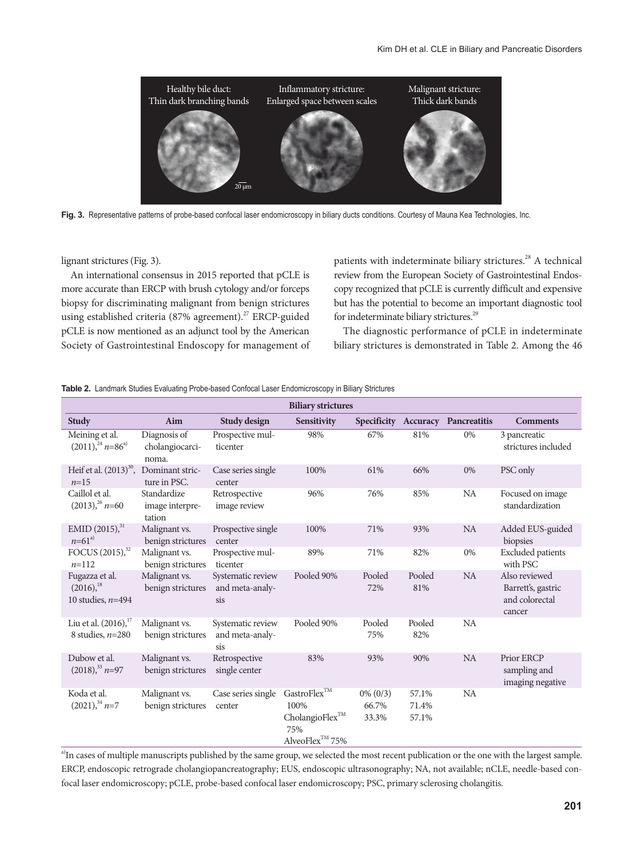

Fig. 3. Representative patterns of probe-based confocal laser endomicroscopy in biliary ducts conditions. Courtesy of Mauna Kea Technologies, Inc.

lignant strictures (Fig. 3).

An international consensus in 2015 reported that pCLE is more accurate than ERCP with brush cytology and/or forceps biopsy for discriminating malignant from benign strictures using established criteria (87% agreement).<sup>27</sup> ERCP-guided pCLE is now mentioned as an adjunct tool by the American Society of Gastrointestinal Endoscopy for management of

patients with indeterminate biliary strictures.<sup>28</sup> A technical review from the European Society of Gastrointestinal Endoscopy recognized that pCLE is currently difficult and expensive but has the potential to become an important diagnostic tool for indeterminate biliary strictures.<sup>29</sup>

The diagnostic performance of pCLE in indeterminate biliary strictures is demonstrated in Table 2. Among the 46

#### **Table 2.** Landmark Studies Evaluating Probe-based Confocal Laser Endomicroscopy in Biliary Strictures

|                                                         |                                          |                                             | <b>Biliary strictures</b>                                                                      |                               |                         |                                   |                                                                 |
|---------------------------------------------------------|------------------------------------------|---------------------------------------------|------------------------------------------------------------------------------------------------|-------------------------------|-------------------------|-----------------------------------|-----------------------------------------------------------------|
| Study                                                   | Aim                                      | Study design                                | <b>Sensitivity</b>                                                                             |                               |                         | Specificity Accuracy Pancreatitis | <b>Comments</b>                                                 |
| Meining et al.<br>$(2011)^{24}$ n=86 <sup>a)</sup>      | Diagnosis of<br>cholangiocarci-<br>noma. | Prospective mul-<br>ticenter                | 98%                                                                                            | 67%                           | 81%                     | 0%                                | 3 pancreatic<br>strictures included                             |
| Heif et al. $(2013)^{30}$ ,<br>$n=15$                   | Dominant stric-<br>ture in PSC.          | Case series single<br>center                | 100%                                                                                           | 61%                           | 66%                     | 0%                                | PSC only                                                        |
| Caillol et al.<br>$(2013)^{26}$ n=60                    | Standardize<br>image interpre-<br>tation | Retrospective<br>image review               | 96%                                                                                            | 76%                           | 85%                     | <b>NA</b>                         | Focused on image<br>standardization                             |
| EMID $(2015)^{31}$<br>$n = 61^{a}$                      | Malignant vs.<br>benign strictures       | Prospective single<br>center                | 100%                                                                                           | 71%                           | 93%                     | <b>NA</b>                         | Added EUS-guided<br>biopsies                                    |
| FOCUS (2015), <sup>32</sup><br>$n=112$                  | Malignant vs.<br>benign strictures       | Prospective mul-<br>ticenter                | 89%                                                                                            | 71%                           | 82%                     | 0%                                | <b>Excluded</b> patients<br>with PSC                            |
| Fugazza et al.<br>$(2016),^{18}$<br>10 studies, $n=494$ | Malignant vs.<br>benign strictures       | Systematic review<br>and meta-analy-<br>sis | Pooled 90%                                                                                     | Pooled<br>72%                 | Pooled<br>81%           | <b>NA</b>                         | Also reviewed<br>Barrett's, gastric<br>and colorectal<br>cancer |
| Liu et al. $(2016)$ , $^{17}$<br>8 studies, $n=280$     | Malignant vs.<br>benign strictures       | Systematic review<br>and meta-analy-<br>sis | Pooled 90%                                                                                     | Pooled<br>75%                 | Pooled<br>82%           | NA                                |                                                                 |
| Dubow et al.<br>$(2018)^{33}$ n=97                      | Malignant vs.<br>benign strictures       | Retrospective<br>single center              | 83%                                                                                            | 93%                           | 90%                     | <b>NA</b>                         | Prior ERCP<br>sampling and<br>imaging negative                  |
| Koda et al.<br>$(2021)^{34}$ n=7                        | Malignant vs.<br>benign strictures       | Case series single<br>center                | GastroFlex $^{TM}$<br>100%<br>CholangioFlex <sup>TM</sup><br>75%<br>AlveoFlex <sup>™</sup> 75% | $0\% (0/3)$<br>66.7%<br>33.3% | 57.1%<br>71.4%<br>57.1% | <b>NA</b>                         |                                                                 |

<sup>a)</sup>In cases of multiple manuscripts published by the same group, we selected the most recent publication or the one with the largest sample. ERCP, endoscopic retrograde cholangiopancreatography; EUS, endoscopic ultrasonography; NA, not available; nCLE, needle-based confocal laser endomicroscopy; pCLE, probe-based confocal laser endomicroscopy; PSC, primary sclerosing cholangitis.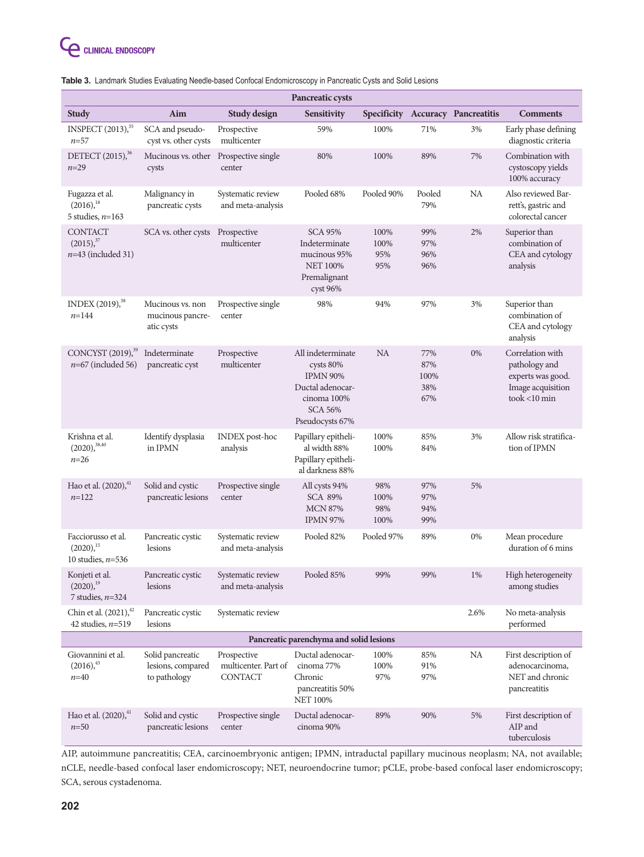| Pancreatic cysts                                           |                                                       |                                                       |                                                                                                                           |                            |                                  |                                   |                                                                                             |
|------------------------------------------------------------|-------------------------------------------------------|-------------------------------------------------------|---------------------------------------------------------------------------------------------------------------------------|----------------------------|----------------------------------|-----------------------------------|---------------------------------------------------------------------------------------------|
| <b>Study</b>                                               | Aim                                                   | Study design                                          | <b>Sensitivity</b>                                                                                                        |                            |                                  | Specificity Accuracy Pancreatitis | <b>Comments</b>                                                                             |
| INSPECT (2013), <sup>35</sup><br>$n = 57$                  | SCA and pseudo-<br>cyst vs. other cysts               | Prospective<br>multicenter                            | 59%                                                                                                                       | 100%                       | 71%                              | 3%                                | Early phase defining<br>diagnostic criteria                                                 |
| DETECT (2015), <sup>36</sup><br>$n = 29$                   | Mucinous vs. other<br>cysts                           | Prospective single<br>center                          | 80%                                                                                                                       | 100%                       | 89%                              | 7%                                | Combination with<br>cystoscopy yields<br>100% accuracy                                      |
| Fugazza et al.<br>$(2016),^{18}$<br>5 studies, $n=163$     | Malignancy in<br>pancreatic cysts                     | Systematic review<br>and meta-analysis                | Pooled 68%                                                                                                                | Pooled 90%                 | Pooled<br>79%                    | NA                                | Also reviewed Bar-<br>rett's, gastric and<br>colorectal cancer                              |
| <b>CONTACT</b><br>$(2015),^{37}$<br>$n=43$ (included 31)   | SCA vs. other cysts                                   | Prospective<br>multicenter                            | <b>SCA 95%</b><br>Indeterminate<br>mucinous 95%<br><b>NET 100%</b><br>Premalignant<br>cyst 96%                            | 100%<br>100%<br>95%<br>95% | 99%<br>97%<br>96%<br>96%         | 2%                                | Superior than<br>combination of<br>CEA and cytology<br>analysis                             |
| INDEX (2019), <sup>38</sup><br>$n = 144$                   | Mucinous vs. non<br>mucinous pancre-<br>atic cysts    | Prospective single<br>center                          | 98%                                                                                                                       | 94%                        | 97%                              | 3%                                | Superior than<br>combination of<br>CEA and cytology<br>analysis                             |
| CONCYST (2019), <sup>39</sup><br>$n=67$ (included 56)      | Indeterminate<br>pancreatic cyst                      | Prospective<br>multicenter                            | All indeterminate<br>cysts 80%<br><b>IPMN 90%</b><br>Ductal adenocar-<br>cinoma 100%<br><b>SCA 56%</b><br>Pseudocysts 67% | <b>NA</b>                  | 77%<br>87%<br>100%<br>38%<br>67% | $0\%$                             | Correlation with<br>pathology and<br>experts was good.<br>Image acquisition<br>took <10 min |
| Krishna et al.<br>$(2020),^{38,40}$<br>$n = 26$            | Identify dysplasia<br>in IPMN                         | <b>INDEX</b> post-hoc<br>analysis                     | Papillary epitheli-<br>al width 88%<br>Papillary epitheli-<br>al darkness 88%                                             | 100%<br>100%               | 85%<br>84%                       | 3%                                | Allow risk stratifica-<br>tion of IPMN                                                      |
| Hao et al. (2020), 41<br>$n=122$                           | Solid and cystic<br>pancreatic lesions                | Prospective single<br>center                          | All cysts 94%<br><b>SCA 89%</b><br><b>MCN 87%</b><br><b>IPMN 97%</b>                                                      | 98%<br>100%<br>98%<br>100% | 97%<br>97%<br>94%<br>99%         | 5%                                |                                                                                             |
| Facciorusso et al.<br>$(2020)^{15}$<br>10 studies, $n=536$ | Pancreatic cystic<br>lesions                          | Systematic review<br>and meta-analysis                | Pooled 82%                                                                                                                | Pooled 97%                 | 89%                              | 0%                                | Mean procedure<br>duration of 6 mins                                                        |
| Konjeti et al.<br>$(2020),^{19}$<br>7 studies, $n=324$     | Pancreatic cystic<br>lesions                          | Systematic review<br>and meta-analysis                | Pooled 85%                                                                                                                | 99%                        | 99%                              | $1\%$                             | High heterogeneity<br>among studies                                                         |
| Chin et al. (2021), <sup>42</sup><br>42 studies, $n=519$   | Pancreatic cystic<br>lesions                          | Systematic review                                     |                                                                                                                           |                            |                                  | 2.6%                              | No meta-analysis<br>performed                                                               |
| Pancreatic parenchyma and solid lesions                    |                                                       |                                                       |                                                                                                                           |                            |                                  |                                   |                                                                                             |
| Giovannini et al.<br>$(2016),^{43}$<br>$n = 40$            | Solid pancreatic<br>lesions, compared<br>to pathology | Prospective<br>multicenter. Part of<br><b>CONTACT</b> | Ductal adenocar-<br>cinoma 77%<br>Chronic<br>pancreatitis 50%<br><b>NET 100%</b>                                          | 100%<br>100%<br>97%        | 85%<br>91%<br>97%                | NA                                | First description of<br>adenocarcinoma,<br>NET and chronic<br>pancreatitis                  |
| Hao et al. (2020), <sup>41</sup><br>$n=50$                 | Solid and cystic<br>pancreatic lesions                | Prospective single<br>center                          | Ductal adenocar-<br>cinoma 90%                                                                                            | 89%                        | 90%                              | 5%                                | First description of<br>AIP and<br>tuberculosis                                             |

## **Table 3.** Landmark Studies Evaluating Needle-based Confocal Endomicroscopy in Pancreatic Cysts and Solid Lesions

AIP, autoimmune pancreatitis; CEA, carcinoembryonic antigen; IPMN, intraductal papillary mucinous neoplasm; NA, not available; nCLE, needle-based confocal laser endomicroscopy; NET, neuroendocrine tumor; pCLE, probe-based confocal laser endomicroscopy; SCA, serous cystadenoma.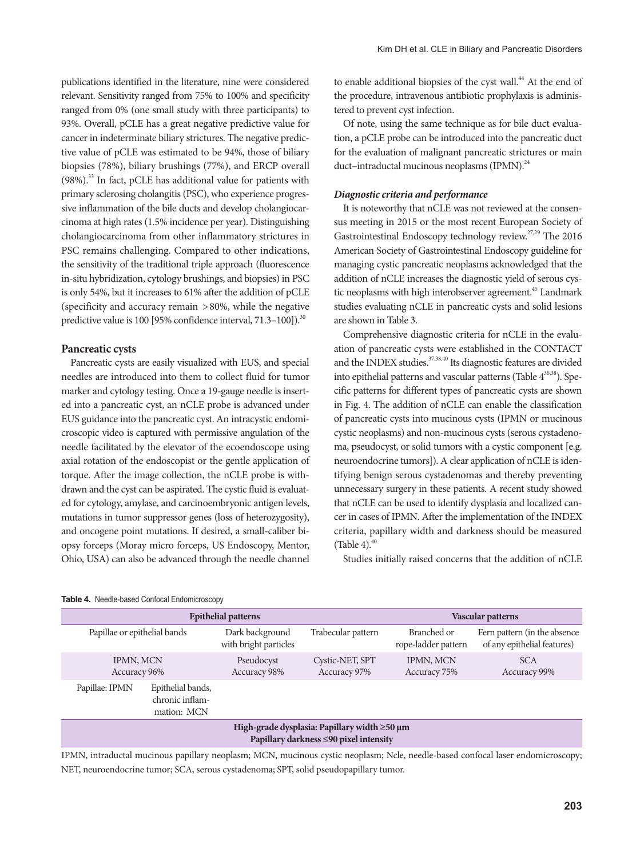publications identified in the literature, nine were considered relevant. Sensitivity ranged from 75% to 100% and specificity ranged from 0% (one small study with three participants) to 93%. Overall, pCLE has a great negative predictive value for cancer in indeterminate biliary strictures. The negative predictive value of pCLE was estimated to be 94%, those of biliary biopsies (78%), biliary brushings (77%), and ERCP overall  $(98%)$ .<sup>33</sup> In fact, pCLE has additional value for patients with primary sclerosing cholangitis (PSC), who experience progressive inflammation of the bile ducts and develop cholangiocarcinoma at high rates (1.5% incidence per year). Distinguishing cholangiocarcinoma from other inflammatory strictures in PSC remains challenging. Compared to other indications, the sensitivity of the traditional triple approach (fluorescence in-situ hybridization, cytology brushings, and biopsies) in PSC is only 54%, but it increases to 61% after the addition of pCLE (specificity and accuracy remain >80%, while the negative predictive value is 100 [95% confidence interval, 71.3–100]).<sup>30</sup>

#### **Pancreatic cysts**

Pancreatic cysts are easily visualized with EUS, and special needles are introduced into them to collect fluid for tumor marker and cytology testing. Once a 19-gauge needle is inserted into a pancreatic cyst, an nCLE probe is advanced under EUS guidance into the pancreatic cyst. An intracystic endomicroscopic video is captured with permissive angulation of the needle facilitated by the elevator of the ecoendoscope using axial rotation of the endoscopist or the gentle application of torque. After the image collection, the nCLE probe is withdrawn and the cyst can be aspirated. The cystic fluid is evaluated for cytology, amylase, and carcinoembryonic antigen levels, mutations in tumor suppressor genes (loss of heterozygosity), and oncogene point mutations. If desired, a small-caliber biopsy forceps (Moray micro forceps, US Endoscopy, Mentor, Ohio, USA) can also be advanced through the needle channel

to enable additional biopsies of the cyst wall.<sup>44</sup> At the end of the procedure, intravenous antibiotic prophylaxis is administered to prevent cyst infection.

Of note, using the same technique as for bile duct evaluation, a pCLE probe can be introduced into the pancreatic duct for the evaluation of malignant pancreatic strictures or main duct–intraductal mucinous neoplasms  $(IPMN)$ .<sup>24</sup>

#### *Diagnostic criteria and performance*

It is noteworthy that nCLE was not reviewed at the consensus meeting in 2015 or the most recent European Society of Gastrointestinal Endoscopy technology review.<sup>27,29</sup> The 2016 American Society of Gastrointestinal Endoscopy guideline for managing cystic pancreatic neoplasms acknowledged that the addition of nCLE increases the diagnostic yield of serous cystic neoplasms with high interobserver agreement.<sup>45</sup> Landmark studies evaluating nCLE in pancreatic cysts and solid lesions are shown in Table 3.

Comprehensive diagnostic criteria for nCLE in the evaluation of pancreatic cysts were established in the CONTACT and the INDEX studies.<sup>37,38,40</sup> Its diagnostic features are divided into epithelial patterns and vascular patterns (Table  $4^{36,38}$ ). Specific patterns for different types of pancreatic cysts are shown in Fig. 4. The addition of nCLE can enable the classification of pancreatic cysts into mucinous cysts (IPMN or mucinous cystic neoplasms) and non-mucinous cysts (serous cystadenoma, pseudocyst, or solid tumors with a cystic component [e.g. neuroendocrine tumors]). A clear application of nCLE is identifying benign serous cystadenomas and thereby preventing unnecessary surgery in these patients. A recent study showed that nCLE can be used to identify dysplasia and localized cancer in cases of IPMN. After the implementation of the INDEX criteria, papillary width and darkness should be measured (Table 4). $40$ 

Studies initially raised concerns that the addition of nCLE

|                                                                                                         | <b>Epithelial patterns</b> | Vascular patterns                        |                                 |                                    |                                                              |
|---------------------------------------------------------------------------------------------------------|----------------------------|------------------------------------------|---------------------------------|------------------------------------|--------------------------------------------------------------|
| Papillae or epithelial bands                                                                            |                            | Dark background<br>with bright particles | Trabecular pattern              | Branched or<br>rope-ladder pattern | Fern pattern (in the absence)<br>of any epithelial features) |
| IPMN, MCN<br>Accuracy 96%                                                                               |                            | Pseudocyst<br>Accuracy 98%               | Cystic-NET, SPT<br>Accuracy 97% | IPMN, MCN<br>Accuracy 75%          | <b>SCA</b><br>Accuracy 99%                                   |
| Papillae: IPMN<br>Epithelial bands,<br>chronic inflam-<br>mation: MCN                                   |                            |                                          |                                 |                                    |                                                              |
| High-grade dysplasia: Papillary width $\geq 50 \,\mu m$<br>Papillary darkness $\leq 90$ pixel intensity |                            |                                          |                                 |                                    |                                                              |

#### **Table 4.** Needle-based Confocal Endomicroscopy

IPMN, intraductal mucinous papillary neoplasm; MCN, mucinous cystic neoplasm; Ncle, needle-based confocal laser endomicroscopy; NET, neuroendocrine tumor; SCA, serous cystadenoma; SPT, solid pseudopapillary tumor.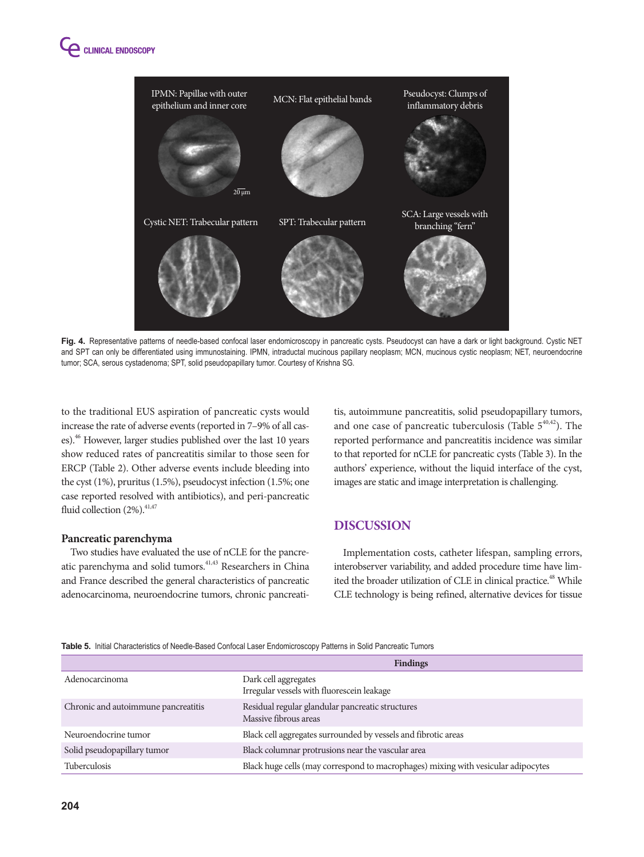



Fig. 4. Representative patterns of needle-based confocal laser endomicroscopy in pancreatic cysts. Pseudocyst can have a dark or light background. Cystic NET and SPT can only be differentiated using immunostaining. IPMN, intraductal mucinous papillary neoplasm; MCN, mucinous cystic neoplasm; NET, neuroendocrine tumor; SCA, serous cystadenoma; SPT, solid pseudopapillary tumor. Courtesy of Krishna SG.

to the traditional EUS aspiration of pancreatic cysts would increase the rate of adverse events (reported in 7–9% of all cases).46 However, larger studies published over the last 10 years show reduced rates of pancreatitis similar to those seen for ERCP (Table 2). Other adverse events include bleeding into the cyst (1%), pruritus (1.5%), pseudocyst infection (1.5%; one case reported resolved with antibiotics), and peri-pancreatic fluid collection  $(2\%)$ .  $41,47$ 

#### **Pancreatic parenchyma**

Two studies have evaluated the use of nCLE for the pancreatic parenchyma and solid tumors.<sup>41,43</sup> Researchers in China and France described the general characteristics of pancreatic adenocarcinoma, neuroendocrine tumors, chronic pancreatitis, autoimmune pancreatitis, solid pseudopapillary tumors, and one case of pancreatic tuberculosis (Table  $5^{40,42}$ ). The reported performance and pancreatitis incidence was similar to that reported for nCLE for pancreatic cysts (Table 3). In the authors' experience, without the liquid interface of the cyst, images are static and image interpretation is challenging.

## **DISCUSSION**

Implementation costs, catheter lifespan, sampling errors, interobserver variability, and added procedure time have limited the broader utilization of CLE in clinical practice.<sup>48</sup> While CLE technology is being refined, alternative devices for tissue

**Table 5.** Initial Characteristics of Needle-Based Confocal Laser Endomicroscopy Patterns in Solid Pancreatic Tumors

|                                     | <b>Findings</b>                                                                   |
|-------------------------------------|-----------------------------------------------------------------------------------|
| Adenocarcinoma                      | Dark cell aggregates<br>Irregular vessels with fluorescein leakage                |
| Chronic and autoimmune pancreatitis | Residual regular glandular pancreatic structures<br>Massive fibrous areas         |
| Neuroendocrine tumor                | Black cell aggregates surrounded by vessels and fibrotic areas                    |
| Solid pseudopapillary tumor         | Black columnar protrusions near the vascular area                                 |
| <b>Tuberculosis</b>                 | Black huge cells (may correspond to macrophages) mixing with vesicular adipocytes |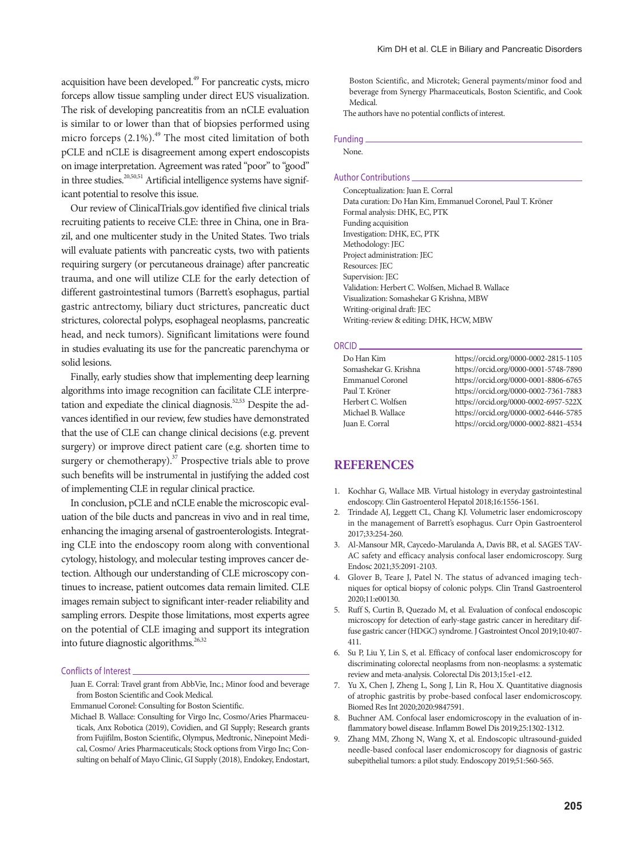acquisition have been developed.49 For pancreatic cysts, micro forceps allow tissue sampling under direct EUS visualization. The risk of developing pancreatitis from an nCLE evaluation is similar to or lower than that of biopsies performed using micro forceps  $(2.1\%)$ .<sup>49</sup> The most cited limitation of both pCLE and nCLE is disagreement among expert endoscopists on image interpretation. Agreement was rated "poor" to "good" in three studies.<sup>20,50,51</sup> Artificial intelligence systems have significant potential to resolve this issue.

Our review of ClinicalTrials.gov identified five clinical trials recruiting patients to receive CLE: three in China, one in Brazil, and one multicenter study in the United States. Two trials will evaluate patients with pancreatic cysts, two with patients requiring surgery (or percutaneous drainage) after pancreatic trauma, and one will utilize CLE for the early detection of different gastrointestinal tumors (Barrett's esophagus, partial gastric antrectomy, biliary duct strictures, pancreatic duct strictures, colorectal polyps, esophageal neoplasms, pancreatic head, and neck tumors). Significant limitations were found in studies evaluating its use for the pancreatic parenchyma or solid lesions.

Finally, early studies show that implementing deep learning algorithms into image recognition can facilitate CLE interpretation and expediate the clinical diagnosis.<sup>52,53</sup> Despite the advances identified in our review, few studies have demonstrated that the use of CLE can change clinical decisions (e.g. prevent surgery) or improve direct patient care (e.g. shorten time to surgery or chemotherapy). $37$  Prospective trials able to prove such benefits will be instrumental in justifying the added cost of implementing CLE in regular clinical practice.

In conclusion, pCLE and nCLE enable the microscopic evaluation of the bile ducts and pancreas in vivo and in real time, enhancing the imaging arsenal of gastroenterologists. Integrating CLE into the endoscopy room along with conventional cytology, histology, and molecular testing improves cancer detection. Although our understanding of CLE microscopy continues to increase, patient outcomes data remain limited. CLE images remain subject to significant inter-reader reliability and sampling errors. Despite those limitations, most experts agree on the potential of CLE imaging and support its integration into future diagnostic algorithms.<sup>26,32</sup>

#### Conflicts of Interest

- Juan E. Corral: Travel grant from AbbVie, Inc.; Minor food and beverage from Boston Scientific and Cook Medical.
- Emmanuel Coronel: Consulting for Boston Scientific.
- Michael B. Wallace: Consulting for Virgo Inc, Cosmo/Aries Pharmaceuticals, Anx Robotica (2019), Covidien, and GI Supply; Research grants from Fujifilm, Boston Scientific, Olympus, Medtronic, Ninepoint Medical, Cosmo/ Aries Pharmaceuticals; Stock options from Virgo Inc; Consulting on behalf of Mayo Clinic, GI Supply (2018), Endokey, Endostart,

Boston Scientific, and Microtek; General payments/minor food and beverage from Synergy Pharmaceuticals, Boston Scientific, and Cook Medical.

The authors have no potential conflicts of interest.

#### Funding

None.

## Author Contributions

Conceptualization: Juan E. Corral Data curation: Do Han Kim, Emmanuel Coronel, Paul T. Kröner Formal analysis: DHK, EC, PTK Funding acquisition Investigation: DHK, EC, PTK Methodology: JEC Project administration: JEC Resources: JEC Supervision: JEC Validation: Herbert C. Wolfsen, Michael B. Wallace Visualization: Somashekar G Krishna, MBW Writing-original draft: JEC Writing-review & editing: DHK, HCW, MBW

#### ORCID

| Do Han Kim              | https://orcid.org/0000-0002-2815-1105 |
|-------------------------|---------------------------------------|
| Somashekar G. Krishna   | https://orcid.org/0000-0001-5748-7890 |
| <b>Emmanuel Coronel</b> | https://orcid.org/0000-0001-8806-6765 |
| Paul T. Kröner          | https://orcid.org/0000-0002-7361-7883 |
| Herbert C. Wolfsen      | https://orcid.org/0000-0002-6957-522X |
| Michael B. Wallace      | https://orcid.org/0000-0002-6446-5785 |
| Juan E. Corral          | https://orcid.org/0000-0002-8821-4534 |
|                         |                                       |

# **REFERENCES**

- 1. Kochhar G, Wallace MB. Virtual histology in everyday gastrointestinal endoscopy. Clin Gastroenterol Hepatol 2018;16:1556-1561.
- 2. Trindade AJ, Leggett CL, Chang KJ. Volumetric laser endomicroscopy in the management of Barrett's esophagus. Curr Opin Gastroenterol 2017;33:254-260.
- 3. Al-Mansour MR, Caycedo-Marulanda A, Davis BR, et al. SAGES TAV-AC safety and efficacy analysis confocal laser endomicroscopy. Surg Endosc 2021;35:2091-2103.
- 4. Glover B, Teare J, Patel N. The status of advanced imaging techniques for optical biopsy of colonic polyps. Clin Transl Gastroenterol 2020;11:e00130.
- 5. Ruff S, Curtin B, Quezado M, et al. Evaluation of confocal endoscopic microscopy for detection of early-stage gastric cancer in hereditary diffuse gastric cancer (HDGC) syndrome. J Gastrointest Oncol 2019;10:407- 411.
- 6. Su P, Liu Y, Lin S, et al. Efficacy of confocal laser endomicroscopy for discriminating colorectal neoplasms from non-neoplasms: a systematic review and meta-analysis. Colorectal Dis 2013;15:e1-e12.
- 7. Yu X, Chen J, Zheng L, Song J, Lin R, Hou X. Quantitative diagnosis of atrophic gastritis by probe-based confocal laser endomicroscopy. Biomed Res Int 2020;2020:9847591.
- 8. Buchner AM. Confocal laser endomicroscopy in the evaluation of inflammatory bowel disease. Inflamm Bowel Dis 2019;25:1302-1312.
- 9. Zhang MM, Zhong N, Wang X, et al. Endoscopic ultrasound-guided needle-based confocal laser endomicroscopy for diagnosis of gastric subepithelial tumors: a pilot study. Endoscopy 2019;51:560-565.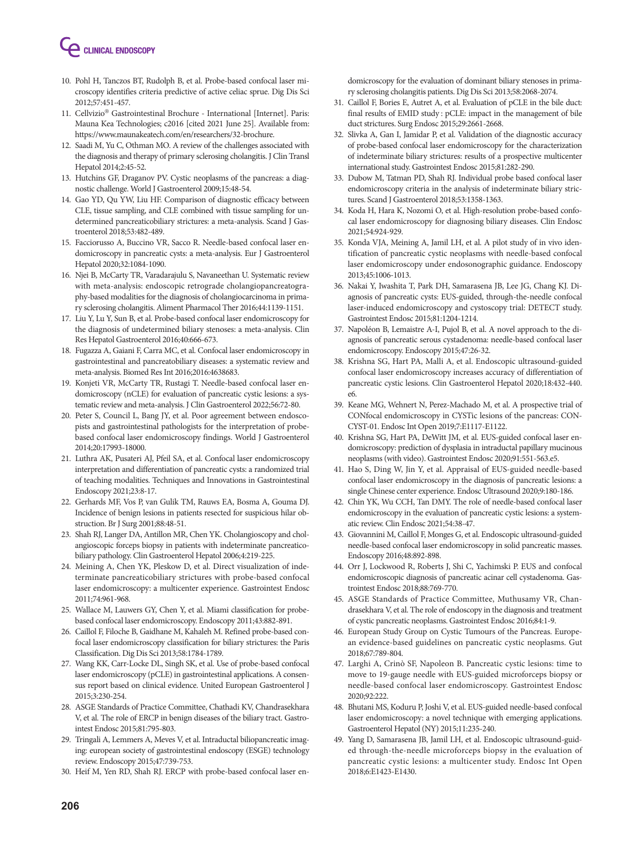

- 10. Pohl H, Tanczos BT, Rudolph B, et al. Probe-based confocal laser microscopy identifies criteria predictive of active celiac sprue. Dig Dis Sci 2012;57:451-457.
- 11. Cellvizio® Gastrointestinal Brochure International [Internet]. Paris: Mauna Kea Technologies; c2016 [cited 2021 June 25]. Available from: https://www.maunakeatech.com/en/researchers/32-brochure.
- 12. Saadi M, Yu C, Othman MO. A review of the challenges associated with the diagnosis and therapy of primary sclerosing cholangitis. J Clin Transl Hepatol 2014;2:45-52.
- 13. Hutchins GF, Draganov PV. Cystic neoplasms of the pancreas: a diagnostic challenge. World J Gastroenterol 2009;15:48-54.
- 14. Gao YD, Qu YW, Liu HF. Comparison of diagnostic efficacy between CLE, tissue sampling, and CLE combined with tissue sampling for undetermined pancreaticobiliary strictures: a meta-analysis. Scand J Gastroenterol 2018;53:482-489.
- 15. Facciorusso A, Buccino VR, Sacco R. Needle-based confocal laser endomicroscopy in pancreatic cysts: a meta-analysis. Eur J Gastroenterol Hepatol 2020;32:1084-1090.
- 16. Njei B, McCarty TR, Varadarajulu S, Navaneethan U. Systematic review with meta-analysis: endoscopic retrograde cholangiopancreatography-based modalities for the diagnosis of cholangiocarcinoma in primary sclerosing cholangitis. Aliment Pharmacol Ther 2016;44:1139-1151.
- 17. Liu Y, Lu Y, Sun B, et al. Probe-based confocal laser endomicroscopy for the diagnosis of undetermined biliary stenoses: a meta-analysis. Clin Res Hepatol Gastroenterol 2016;40:666-673.
- 18. Fugazza A, Gaiani F, Carra MC, et al. Confocal laser endomicroscopy in gastrointestinal and pancreatobiliary diseases: a systematic review and meta-analysis. Biomed Res Int 2016;2016:4638683.
- 19. Konjeti VR, McCarty TR, Rustagi T. Needle-based confocal laser endomicroscopy (nCLE) for evaluation of pancreatic cystic lesions: a systematic review and meta-analysis. J Clin Gastroenterol 2022;56:72-80.
- 20. Peter S, Council L, Bang JY, et al. Poor agreement between endoscopists and gastrointestinal pathologists for the interpretation of probebased confocal laser endomicroscopy findings. World J Gastroenterol 2014;20:17993-18000.
- 21. Luthra AK, Pusateri AJ, Pfeil SA, et al. Confocal laser endomicroscopy interpretation and differentiation of pancreatic cysts: a randomized trial of teaching modalities. Techniques and Innovations in Gastrointestinal Endoscopy 2021;23:8-17.
- 22. Gerhards MF, Vos P, van Gulik TM, Rauws EA, Bosma A, Gouma DJ. Incidence of benign lesions in patients resected for suspicious hilar obstruction. Br J Surg 2001;88:48-51.
- 23. Shah RJ, Langer DA, Antillon MR, Chen YK. Cholangioscopy and cholangioscopic forceps biopsy in patients with indeterminate pancreaticobiliary pathology. Clin Gastroenterol Hepatol 2006;4:219-225.
- 24. Meining A, Chen YK, Pleskow D, et al. Direct visualization of indeterminate pancreaticobiliary strictures with probe-based confocal laser endomicroscopy: a multicenter experience. Gastrointest Endosc 2011;74:961-968.
- 25. Wallace M, Lauwers GY, Chen Y, et al. Miami classification for probebased confocal laser endomicroscopy. Endoscopy 2011;43:882-891.
- 26. Caillol F, Filoche B, Gaidhane M, Kahaleh M. Refined probe-based confocal laser endomicroscopy classification for biliary strictures: the Paris Classification. Dig Dis Sci 2013;58:1784-1789.
- 27. Wang KK, Carr-Locke DL, Singh SK, et al. Use of probe-based confocal laser endomicroscopy (pCLE) in gastrointestinal applications. A consensus report based on clinical evidence. United European Gastroenterol J 2015;3:230-254.
- 28. ASGE Standards of Practice Committee, Chathadi KV, Chandrasekhara V, et al. The role of ERCP in benign diseases of the biliary tract. Gastrointest Endosc 2015;81:795-803.
- 29. Tringali A, Lemmers A, Meves V, et al. Intraductal biliopancreatic imaging: european society of gastrointestinal endoscopy (ESGE) technology review. Endoscopy 2015;47:739-753.
- 30. Heif M, Yen RD, Shah RJ. ERCP with probe-based confocal laser en-

domicroscopy for the evaluation of dominant biliary stenoses in primary sclerosing cholangitis patients. Dig Dis Sci 2013;58:2068-2074.

- 31. Caillol F, Bories E, Autret A, et al. Evaluation of pCLE in the bile duct: final results of EMID study : pCLE: impact in the management of bile duct strictures. Surg Endosc 2015;29:2661-2668.
- 32. Slivka A, Gan I, Jamidar P, et al. Validation of the diagnostic accuracy of probe-based confocal laser endomicroscopy for the characterization of indeterminate biliary strictures: results of a prospective multicenter international study. Gastrointest Endosc 2015;81:282-290.
- 33. Dubow M, Tatman PD, Shah RJ. Individual probe based confocal laser endomicroscopy criteria in the analysis of indeterminate biliary strictures. Scand J Gastroenterol 2018;53:1358-1363.
- 34. Koda H, Hara K, Nozomi O, et al. High-resolution probe-based confocal laser endomicroscopy for diagnosing biliary diseases. Clin Endosc 2021;54:924-929.
- 35. Konda VJA, Meining A, Jamil LH, et al. A pilot study of in vivo identification of pancreatic cystic neoplasms with needle-based confocal laser endomicroscopy under endosonographic guidance. Endoscopy 2013;45:1006-1013.
- 36. Nakai Y, Iwashita T, Park DH, Samarasena JB, Lee JG, Chang KJ. Diagnosis of pancreatic cysts: EUS-guided, through-the-needle confocal laser-induced endomicroscopy and cystoscopy trial: DETECT study. Gastrointest Endosc 2015;81:1204-1214.
- 37. Napoléon B, Lemaistre A-I, Pujol B, et al. A novel approach to the diagnosis of pancreatic serous cystadenoma: needle-based confocal laser endomicroscopy. Endoscopy 2015;47:26-32.
- 38. Krishna SG, Hart PA, Malli A, et al. Endoscopic ultrasound-guided confocal laser endomicroscopy increases accuracy of differentiation of pancreatic cystic lesions. Clin Gastroenterol Hepatol 2020;18:432-440. e6.
- 39. Keane MG, Wehnert N, Perez-Machado M, et al. A prospective trial of CONfocal endomicroscopy in CYSTic lesions of the pancreas: CON-CYST-01. Endosc Int Open 2019;7:E1117-E1122.
- 40. Krishna SG, Hart PA, DeWitt JM, et al. EUS-guided confocal laser endomicroscopy: prediction of dysplasia in intraductal papillary mucinous neoplasms (with video). Gastrointest Endosc 2020;91:551-563.e5.
- 41. Hao S, Ding W, Jin Y, et al. Appraisal of EUS-guided needle-based confocal laser endomicroscopy in the diagnosis of pancreatic lesions: a single Chinese center experience. Endosc Ultrasound 2020;9:180-186.
- 42. Chin YK, Wu CCH, Tan DMY. The role of needle-based confocal laser endomicroscopy in the evaluation of pancreatic cystic lesions: a systematic review. Clin Endosc 2021;54:38-47.
- 43. Giovannini M, Caillol F, Monges G, et al. Endoscopic ultrasound-guided needle-based confocal laser endomicroscopy in solid pancreatic masses. Endoscopy 2016;48:892-898.
- 44. Orr J, Lockwood R, Roberts J, Shi C, Yachimski P. EUS and confocal endomicroscopic diagnosis of pancreatic acinar cell cystadenoma. Gastrointest Endosc 2018;88:769-770.
- 45. ASGE Standards of Practice Committee, Muthusamy VR, Chandrasekhara V, et al. The role of endoscopy in the diagnosis and treatment of cystic pancreatic neoplasms. Gastrointest Endosc 2016;84:1-9.
- 46. European Study Group on Cystic Tumours of the Pancreas. European evidence-based guidelines on pancreatic cystic neoplasms. Gut 2018;67:789-804.
- 47. Larghi A, Crinò SF, Napoleon B. Pancreatic cystic lesions: time to move to 19-gauge needle with EUS-guided microforceps biopsy or needle-based confocal laser endomicroscopy. Gastrointest Endosc 2020;92:222.
- 48. Bhutani MS, Koduru P, Joshi V, et al. EUS-guided needle-based confocal laser endomicroscopy: a novel technique with emerging applications. Gastroenterol Hepatol (NY) 2015;11:235-240.
- 49. Yang D, Samarasena JB, Jamil LH, et al. Endoscopic ultrasound-guided through-the-needle microforceps biopsy in the evaluation of pancreatic cystic lesions: a multicenter study. Endosc Int Open 2018;6:E1423-E1430.